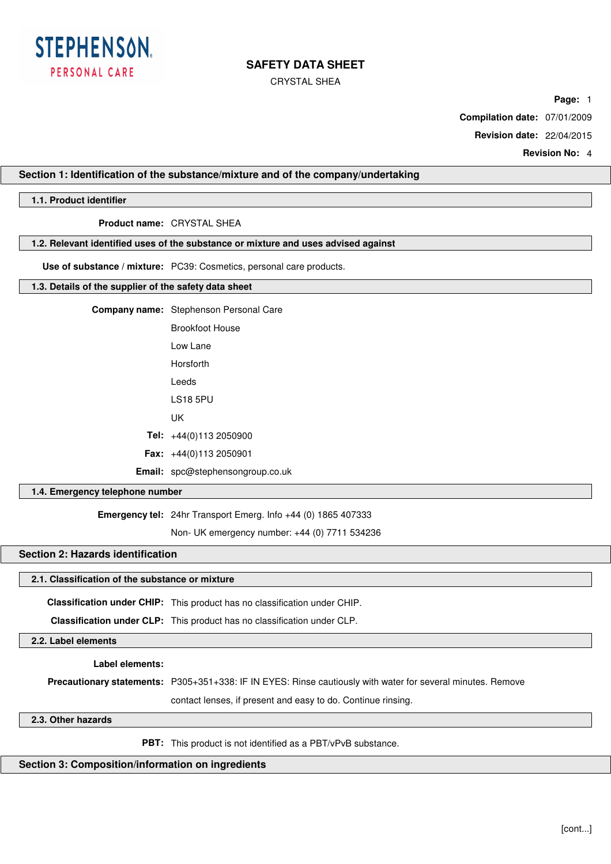

CRYSTAL SHEA

**Page:** 1

**Compilation date:** 07/01/2009

**Revision date:** 22/04/2015

**Revision No:** 4

## **Section 1: Identification of the substance/mixture and of the company/undertaking**

## **1.1. Product identifier**

**Product name:** CRYSTAL SHEA

### **1.2. Relevant identified uses of the substance or mixture and uses advised against**

**Use of substance / mixture:** PC39: Cosmetics, personal care products.

## **1.3. Details of the supplier of the safety data sheet**

|  | <b>Company name:</b> Stephenson Personal Care |  |
|--|-----------------------------------------------|--|
|--|-----------------------------------------------|--|

|        | Brookfoot House                |
|--------|--------------------------------|
|        | lowlane                        |
|        | Horsforth                      |
|        | I eeds                         |
|        | LS18 5PU                       |
|        | UΚ                             |
|        | Tel: $+44(0)1132050900$        |
|        | <b>Fax:</b> $+44(0)1132050901$ |
| Email: | spc@stephensongroup.co.uk      |
|        |                                |

### **1.4. Emergency telephone number**

**Emergency tel:** 24hr Transport Emerg. Info +44 (0) 1865 407333

Non- UK emergency number: +44 (0) 7711 534236

# **Section 2: Hazards identification**

# **2.1. Classification of the substance or mixture**

**Classification under CHIP:** This product has no classification under CHIP.

**Classification under CLP:** This product has no classification under CLP.

**2.2. Label elements**

**Label elements:**

**Precautionary statements:** P305+351+338: IF IN EYES: Rinse cautiously with water for several minutes. Remove

contact lenses, if present and easy to do. Continue rinsing.

## **2.3. Other hazards**

**PBT:** This product is not identified as a PBT/vPvB substance.

## **Section 3: Composition/information on ingredients**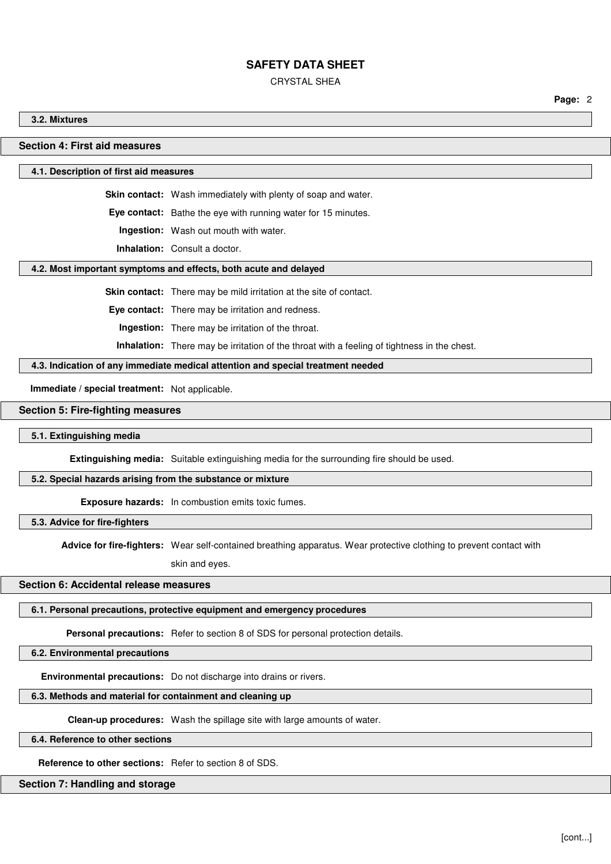CRYSTAL SHEA

**Page:** 2

**3.2. Mixtures**

## **Section 4: First aid measures**

#### **4.1. Description of first aid measures**

**Skin contact:** Wash immediately with plenty of soap and water.

**Eye contact:** Bathe the eye with running water for 15 minutes.

**Ingestion:** Wash out mouth with water.

**Inhalation:** Consult a doctor.

## **4.2. Most important symptoms and effects, both acute and delayed**

**Skin contact:** There may be mild irritation at the site of contact.

**Eye contact:** There may be irritation and redness.

**Ingestion:** There may be irritation of the throat.

**Inhalation:** There may be irritation of the throat with a feeling of tightness in the chest.

**4.3. Indication of any immediate medical attention and special treatment needed**

**Immediate / special treatment:** Not applicable.

## **Section 5: Fire-fighting measures**

## **5.1. Extinguishing media**

**Extinguishing media:** Suitable extinguishing media for the surrounding fire should be used.

### **5.2. Special hazards arising from the substance or mixture**

**Exposure hazards:** In combustion emits toxic fumes.

**5.3. Advice for fire-fighters**

**Advice for fire-fighters:** Wear self-contained breathing apparatus. Wear protective clothing to prevent contact with

skin and eyes.

## **Section 6: Accidental release measures**

## **6.1. Personal precautions, protective equipment and emergency procedures**

Personal precautions: Refer to section 8 of SDS for personal protection details.

**6.2. Environmental precautions**

**Environmental precautions:** Do not discharge into drains or rivers.

## **6.3. Methods and material for containment and cleaning up**

**Clean-up procedures:** Wash the spillage site with large amounts of water.

## **6.4. Reference to other sections**

**Reference to other sections:** Refer to section 8 of SDS.

# **Section 7: Handling and storage**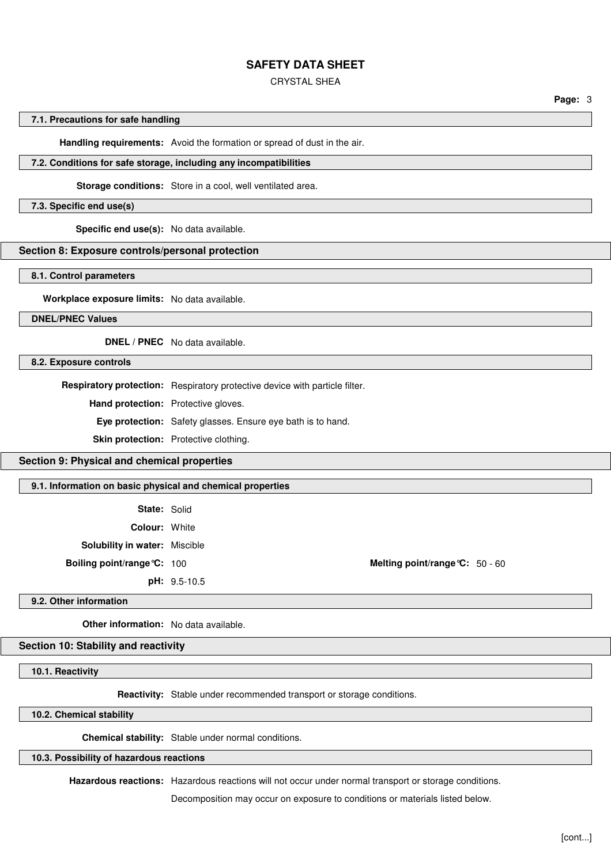CRYSTAL SHEA

**Page:** 3

#### **7.1. Precautions for safe handling**

**Handling requirements:** Avoid the formation or spread of dust in the air.

#### **7.2. Conditions for safe storage, including any incompatibilities**

**Storage conditions:** Store in a cool, well ventilated area.

#### **7.3. Specific end use(s)**

**Specific end use(s):** No data available.

## **Section 8: Exposure controls/personal protection**

**8.1. Control parameters**

**Workplace exposure limits:** No data available.

**DNEL/PNEC Values**

**DNEL / PNEC** No data available.

**8.2. Exposure controls**

**Respiratory protection:** Respiratory protective device with particle filter.

**Hand protection:** Protective gloves.

**Eye protection:** Safety glasses. Ensure eye bath is to hand.

**Skin protection:** Protective clothing.

### **Section 9: Physical and chemical properties**

**9.1. Information on basic physical and chemical properties**

**State:** Solid

**Colour:** White

**Solubility in water:** Miscible

**pH:** 9.5-10.5

**Boiling point/range°C:** 100 **Melting point/range°C:** 50 - 60

#### **9.2. Other information**

**Other information:** No data available.

# **Section 10: Stability and reactivity**

**10.1. Reactivity**

**Reactivity:** Stable under recommended transport or storage conditions.

**10.2. Chemical stability**

**Chemical stability:** Stable under normal conditions.

## **10.3. Possibility of hazardous reactions**

**Hazardous reactions:** Hazardous reactions will not occur under normal transport or storage conditions.

Decomposition may occur on exposure to conditions or materials listed below.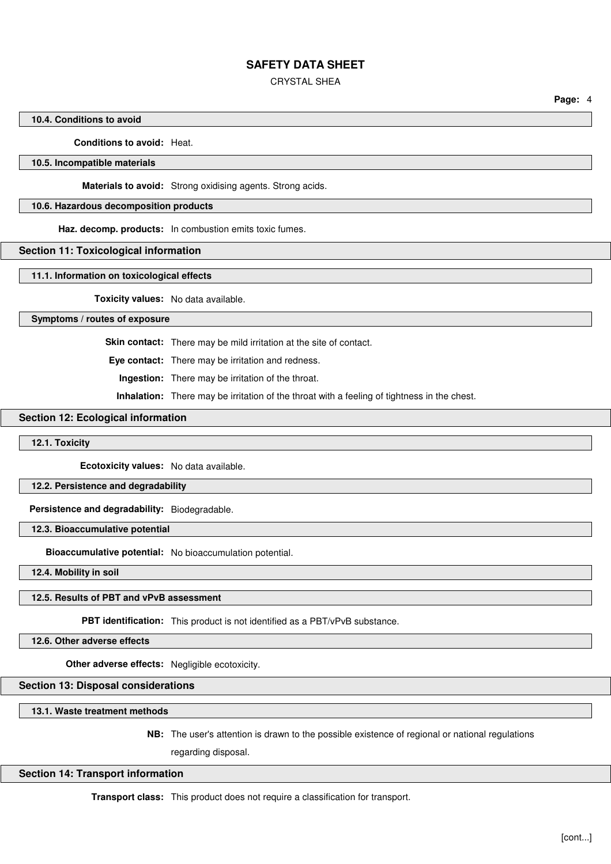CRYSTAL SHEA

**Page:** 4

### **10.4. Conditions to avoid**

#### **Conditions to avoid:** Heat.

### **10.5. Incompatible materials**

**Materials to avoid:** Strong oxidising agents. Strong acids.

### **10.6. Hazardous decomposition products**

**Haz. decomp. products:** In combustion emits toxic fumes.

#### **Section 11: Toxicological information**

**11.1. Information on toxicological effects**

**Toxicity values:** No data available.

#### **Symptoms / routes of exposure**

**Skin contact:** There may be mild irritation at the site of contact.

**Eye contact:** There may be irritation and redness.

**Ingestion:** There may be irritation of the throat.

**Inhalation:** There may be irritation of the throat with a feeling of tightness in the chest.

## **Section 12: Ecological information**

## **12.1. Toxicity**

**Ecotoxicity values:** No data available.

#### **12.2. Persistence and degradability**

**Persistence and degradability:** Biodegradable.

**12.3. Bioaccumulative potential**

**Bioaccumulative potential:** No bioaccumulation potential.

**12.4. Mobility in soil**

## **12.5. Results of PBT and vPvB assessment**

**PBT identification:** This product is not identified as a PBT/vPvB substance.

**12.6. Other adverse effects**

**Other adverse effects:** Negligible ecotoxicity.

# **Section 13: Disposal considerations**

**13.1. Waste treatment methods**

**NB:** The user's attention is drawn to the possible existence of regional or national regulations

regarding disposal.

## **Section 14: Transport information**

**Transport class:** This product does not require a classification for transport.